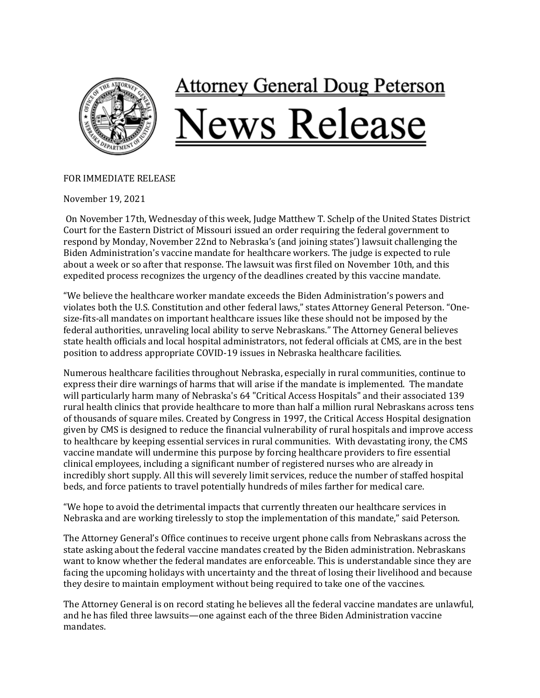

## FOR IMMEDIATE RELEASE

November 19, 2021

On November 17th, Wednesday of this week, Judge Matthew T. Schelp of the United States District Court for the Eastern District of Missouri issued an order requiring the federal government to respond by Monday, November 22nd to Nebraska's (and joining states') lawsuit challenging the Biden Administration's vaccine mandate for healthcare workers. The judge is expected to rule about a week or so after that response. The lawsuit was first filed on November 10th, and this expedited process recognizes the urgency of the deadlines created by this vaccine mandate.

"We believe the healthcare worker mandate exceeds the Biden Administration's powers and violates both the U.S. Constitution and other federal laws," states Attorney General Peterson. "Onesize-fits-all mandates on important healthcare issues like these should not be imposed by the federal authorities, unraveling local ability to serve Nebraskans." The Attorney General believes state health officials and local hospital administrators, not federal officials at CMS, are in the best position to address appropriate COVID-19 issues in Nebraska healthcare facilities.

Numerous healthcare facilities throughout Nebraska, especially in rural communities, continue to express their dire warnings of harms that will arise if the mandate is implemented. The mandate will particularly harm many of Nebraska's 64 "Critical Access Hospitals" and their associated 139 rural health clinics that provide healthcare to more than half a million rural Nebraskans across tens of thousands of square miles. Created by Congress in 1997, the Critical Access Hospital designation given by CMS is designed to reduce the financial vulnerability of rural hospitals and improve access to healthcare by keeping essential services in rural communities. With devastating irony, the CMS vaccine mandate will undermine this purpose by forcing healthcare providers to fire essential clinical employees, including a significant number of registered nurses who are already in incredibly short supply. All this will severely limit services, reduce the number of staffed hospital beds, and force patients to travel potentially hundreds of miles farther for medical care.

"We hope to avoid the detrimental impacts that currently threaten our healthcare services in Nebraska and are working tirelessly to stop the implementation of this mandate," said Peterson.

The Attorney General's Office continues to receive urgent phone calls from Nebraskans across the state asking about the federal vaccine mandates created by the Biden administration. Nebraskans want to know whether the federal mandates are enforceable. This is understandable since they are facing the upcoming holidays with uncertainty and the threat of losing their livelihood and because they desire to maintain employment without being required to take one of the vaccines.

The Attorney General is on record stating he believes all the federal vaccine mandates are unlawful, and he has filed three lawsuits—one against each of the three Biden Administration vaccine mandates.